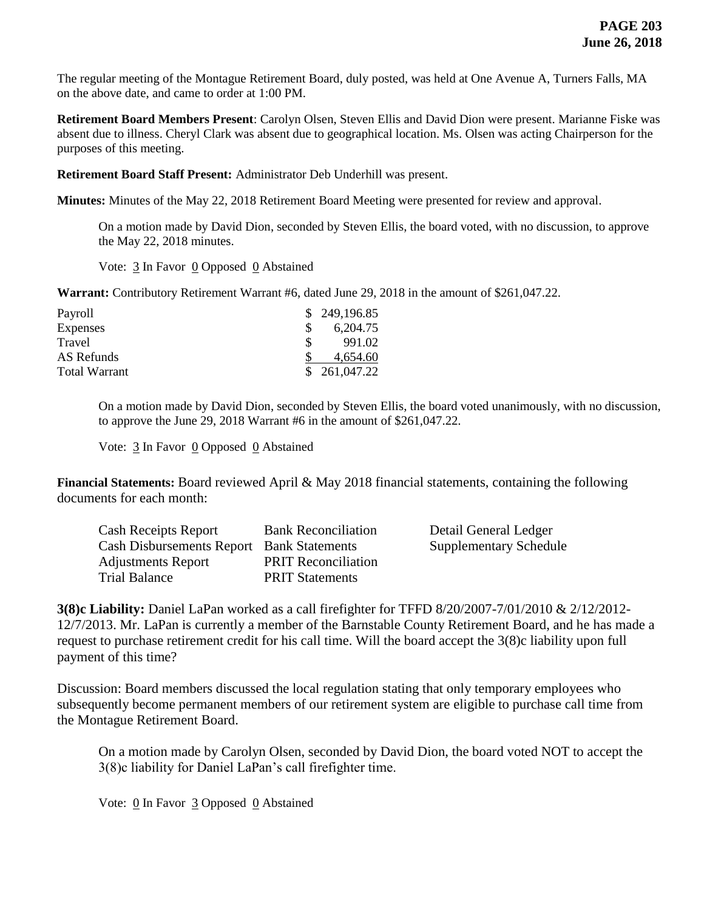The regular meeting of the Montague Retirement Board, duly posted, was held at One Avenue A, Turners Falls, MA on the above date, and came to order at 1:00 PM.

**Retirement Board Members Present**: Carolyn Olsen, Steven Ellis and David Dion were present. Marianne Fiske was absent due to illness. Cheryl Clark was absent due to geographical location. Ms. Olsen was acting Chairperson for the purposes of this meeting.

**Retirement Board Staff Present:** Administrator Deb Underhill was present.

**Minutes:** Minutes of the May 22, 2018 Retirement Board Meeting were presented for review and approval.

On a motion made by David Dion, seconded by Steven Ellis, the board voted, with no discussion, to approve the May 22, 2018 minutes.

Vote: 3 In Favor 0 Opposed 0 Abstained

**Warrant:** Contributory Retirement Warrant #6, dated June 29, 2018 in the amount of \$261,047.22.

| Payroll              | \$249,196.85 |
|----------------------|--------------|
| <b>Expenses</b>      | 6,204.75     |
| Travel               | 991.02       |
| AS Refunds           | 4.654.60     |
| <b>Total Warrant</b> | \$261,047.22 |

On a motion made by David Dion, seconded by Steven Ellis, the board voted unanimously, with no discussion, to approve the June 29, 2018 Warrant #6 in the amount of \$261,047.22.

Vote:  $\frac{3}{2}$  In Favor  $\frac{0}{2}$  Opposed  $\frac{0}{2}$  Abstained

**Financial Statements:** Board reviewed April & May 2018 financial statements, containing the following documents for each month:

| <b>Cash Receipts Report</b>                      | <b>Bank Reconciliation</b> | Detail General Ledger         |
|--------------------------------------------------|----------------------------|-------------------------------|
| <b>Cash Disbursements Report</b> Bank Statements |                            | <b>Supplementary Schedule</b> |
| <b>Adjustments Report</b>                        | <b>PRIT Reconciliation</b> |                               |
| <b>Trial Balance</b>                             | <b>PRIT Statements</b>     |                               |

**3(8)c Liability:** Daniel LaPan worked as a call firefighter for TFFD 8/20/2007-7/01/2010 & 2/12/2012- 12/7/2013. Mr. LaPan is currently a member of the Barnstable County Retirement Board, and he has made a request to purchase retirement credit for his call time. Will the board accept the 3(8)c liability upon full payment of this time?

Discussion: Board members discussed the local regulation stating that only temporary employees who subsequently become permanent members of our retirement system are eligible to purchase call time from the Montague Retirement Board.

On a motion made by Carolyn Olsen, seconded by David Dion, the board voted NOT to accept the 3(8)c liability for Daniel LaPan's call firefighter time.

Vote: 0 In Favor 3 Opposed 0 Abstained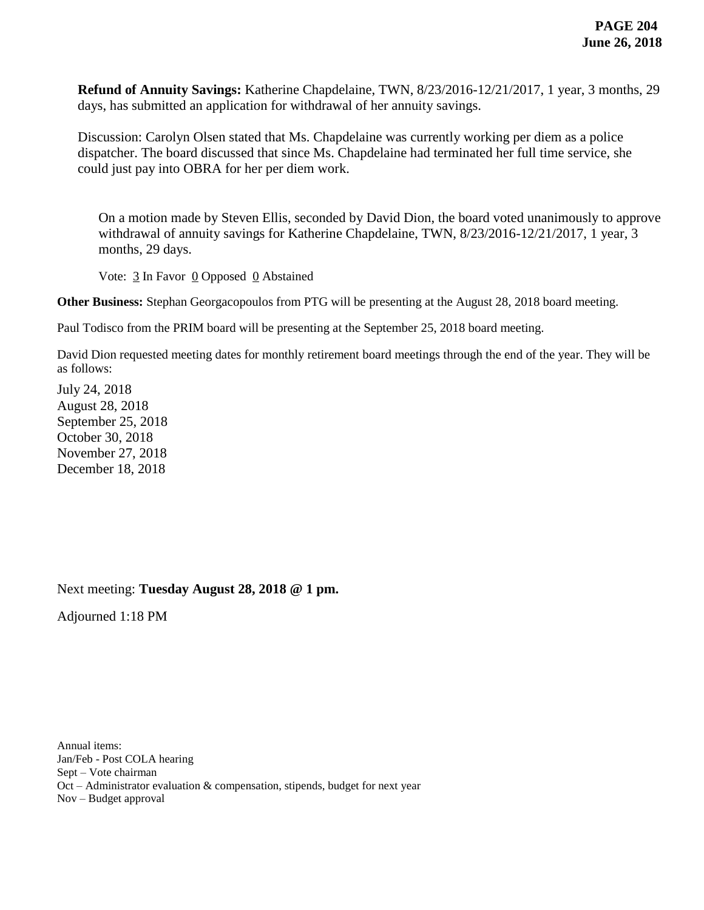**Refund of Annuity Savings:** Katherine Chapdelaine, TWN, 8/23/2016-12/21/2017, 1 year, 3 months, 29 days, has submitted an application for withdrawal of her annuity savings.

Discussion: Carolyn Olsen stated that Ms. Chapdelaine was currently working per diem as a police dispatcher. The board discussed that since Ms. Chapdelaine had terminated her full time service, she could just pay into OBRA for her per diem work.

On a motion made by Steven Ellis, seconded by David Dion, the board voted unanimously to approve withdrawal of annuity savings for Katherine Chapdelaine, TWN, 8/23/2016-12/21/2017, 1 year, 3 months, 29 days.

Vote:  $\frac{3}{2}$  In Favor  $\frac{0}{2}$  Opposed  $\frac{0}{2}$  Abstained

**Other Business:** Stephan Georgacopoulos from PTG will be presenting at the August 28, 2018 board meeting.

Paul Todisco from the PRIM board will be presenting at the September 25, 2018 board meeting.

David Dion requested meeting dates for monthly retirement board meetings through the end of the year. They will be as follows:

July 24, 2018 August 28, 2018 September 25, 2018 October 30, 2018 November 27, 2018 December 18, 2018

Next meeting: **Tuesday August 28, 2018 @ 1 pm.**

Adjourned 1:18 PM